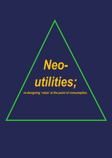## *Neoutilities;*

*re-designing 'value' at the point of consumption.*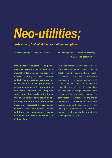## *Neo-utilities;*

## *re-designing 'value' at the point of consumption.*

**Dr Elizabeth Wright & Simon Fraser RCA MA Design; Ceramics, Furniture, Jewellery**

 **UAL: Central Saint Martins**

*'Neo-utilities'* **re-casts corporate integrated reporting as a source of information for decision makers, from material sourcing to the consumer context. This proposition would provide all participants in the production to consumption network, the information to base their decisions on 'integrated value', rather than purely by the lowest price at the point of purchase. In an age of transparent information,** *'Neo-utilities'* **propose a reappraisal of how social, economic and environmental values contribute to sustainable design responses and create narratives for positive change.** 

In mature markets, where basic utility is often taken for granted; products aim to satisfy shared criteria and are massproduced for similar costs. Differentiation strategies aim to reduce economies of scale within the process to reduce the price at the point of sale, or by the creation of questionable design variations that claim to 'add' value to the basic product. In both strategies, the focus is on the end of the production process, at the point where the product meets the consumer. This fails to recognise the full costs of production, or the lifecycle of products during and post consumption (see figure 1).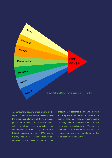

As consumers become more aware of the impact of their choices and increasingly value the experiential elements of their purchasing power, the potential impact to reputational risk throughout the production and consumption network rises, for example failing to recognise the impact of The Modern Slavery Act 2015. When ethicality and sustainability are viewed as 'costs' during

production, it becomes clearer why they are so rarely valued in design narratives at the point of sale. With little motivation, beyond reducing price or tweaking product design, real innovation rapidly declines. The question becomes how to overcome resistance to change and move to supercharge 'radical innovation' (Verganti, 2009)?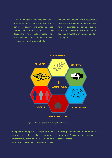Whilst the complexities of competing issues of sustainability and ethicality may be less familiar to design constrained by price, international legal and corporate discussions have acknowledged and reviewed these issues in response to duties to maximise shareholder profit. To

manage investments, whilst recognising the crisis in sustainability and the very real risks to business, society and capital, increasingly companies are responding by adopting a model of integrated reporting (see figure 2).



Figure 2: The 'six capitals' of Integrated Reporting.

Integrated reporting takes a longer view and draws on 'six capitals'; financials, infrastructure, environment, people, society and the intellectual relationships and

knowledge that these create, viewed through the lenses of environmental, economic and societal impact.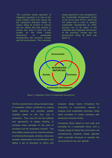*'The outcomes based approach of integrated reporting is to look at the value creation chain from inputs into the company's business model, its output, being its product or service and the effects that that product or service has when it goes out into society on the three critical dimensions of sustainable development, the economy, society and the environment. This outcomes* 

*based approach is now recognised in the Sustainable Development Goals of the UN of April 2015 in which the UN states that in order to achieve sustainable development by 2030, account has to be taken of the indivisible and integrated dimensions of the economy, society and the environment'* (King, M. 2018, see figure 3).



Figure 3: Integrating 'Value' for Sustainable Development

If at the corporate level, using a broader range of evaluation criteria contributes to making better decisions and provides greater reliability based on the 'true' cost of production. Then, why not use the methods and approaches of design thinking, to translate these principles to the point of purchase and let consumers choose? The *Neo-utilities* project aims to; examine barriers to achieving these goals, develop a discourse between stakeholders and shareholders, and define a set of principles to inform and

empower design teams throughout the production to consumption network to propose more sustainable outcomes. Using these principles to create narratives with enhanced consumer choice.

Increasing choice based on real costs and principles for a sustainable future, from a broader range of criteria than price alone, will simultaneously empower design agendas within corporate structures to question the 'procurement at any cost' agenda.